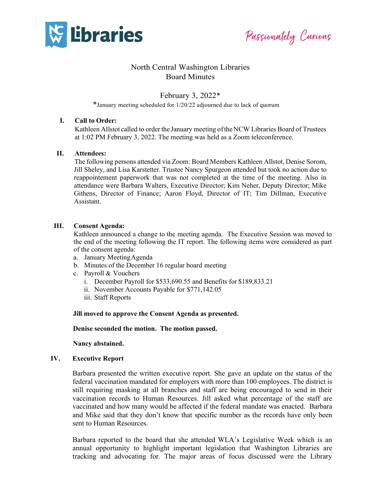

Passionately Curious

# North Central Washington Libraries Board Minutes

# February 3, 2022\*

\*January meeting scheduled for 1/20/22 adjourned due to lack of quorum

# **I. Call to Order:**

Kathleen Allstot called to order the January meeting oftheNCW Libraries Board of Trustees at 1:02 PM February 3, 2022. The meeting was held as a Zoom teleconference.

# **II. Attendees:**

The following persons attended via Zoom: Board Members Kathleen Allstot, Denise Sorom, Jill Sheley, and Lisa Karstetter. Trustee Nancy Spurgeon attended but took no action due to reappointement paperwork that was not completed at the time of the meeting. Also in attendance were Barbara Walters, Executive Director; Kim Neher, Deputy Director; Mike Githens, Director of Finance; Aaron Floyd, Director of IT; Tim Dillman, Executive Assistant.

# **III. Consent Agenda:**

Kathleen announced a change to the meeting agenda. The Executive Session was moved to the end of the meeting following the IT report. The following items were considered as part of the consent agenda:

- a. January MeetingAgenda
- b. Minutes of the December 16 regular board meeting
- c. Payroll & Vouchers
	- i. December Payroll for \$533,690.55 and Benefits for \$189,833.21
	- ii. November Accounts Payable for \$771,142.05
	- iii. Staff Reports

**Jill moved to approve the Consent Agenda as presented.** 

**Denise seconded the motion. The motion passed.**

**Nancy abstained.**

#### **IV. Executive Report**

Barbara presented the written executive report. She gave an update on the status of the federal vaccination mandated for employers with more than 100 employees. The district is still requiring masking at all branches and staff are being encouraged to send in their vaccination records to Human Resources. Jill asked what percentage of the staff are vaccinated and how many would be affected if the federal mandate was enacted. Barbara and Mike said that they don't know that specific number as the records have only been sent to Human Resources.

Barbara reported to the board that she attended WLA's Legislative Week which is an annual opportunity to highlight important legislation that Washington Libraries are tracking and advocating for. The major areas of focus discussed were the Library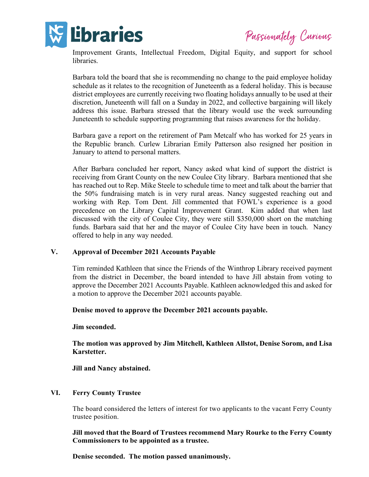

Passionately Curious

Improvement Grants, Intellectual Freedom, Digital Equity, and support for school libraries.

Barbara told the board that she is recommending no change to the paid employee holiday schedule as it relates to the recognition of Juneteenth as a federal holiday. This is because district employees are currently receiving two floating holidays annually to be used at their discretion, Juneteenth will fall on a Sunday in 2022, and collective bargaining will likely address this issue. Barbara stressed that the library would use the week surrounding Juneteenth to schedule supporting programming that raises awareness for the holiday.

Barbara gave a report on the retirement of Pam Metcalf who has worked for 25 years in the Republic branch. Curlew Librarian Emily Patterson also resigned her position in January to attend to personal matters.

After Barbara concluded her report, Nancy asked what kind of support the district is receiving from Grant County on the new Coulee City library. Barbara mentioned that she has reached out to Rep. Mike Steele to schedule time to meet and talk about the barrier that the 50% fundraising match is in very rural areas. Nancy suggested reaching out and working with Rep. Tom Dent. Jill commented that FOWL's experience is a good precedence on the Library Capital Improvement Grant. Kim added that when last discussed with the city of Coulee City, they were still \$350,000 short on the matching funds. Barbara said that her and the mayor of Coulee City have been in touch. Nancy offered to help in any way needed.

# **V. Approval of December 2021 Accounts Payable**

Tim reminded Kathleen that since the Friends of the Winthrop Library received payment from the district in December, the board intended to have Jill abstain from voting to approve the December 2021 Accounts Payable. Kathleen acknowledged this and asked for a motion to approve the December 2021 accounts payable.

**Denise moved to approve the December 2021 accounts payable.**

**Jim seconded.**

**The motion was approved by Jim Mitchell, Kathleen Allstot, Denise Sorom, and Lisa Karstetter.**

**Jill and Nancy abstained.**

# **VI. Ferry County Trustee**

The board considered the letters of interest for two applicants to the vacant Ferry County trustee position.

**Jill moved that the Board of Trustees recommend Mary Rourke to the Ferry County Commissioners to be appointed as a trustee.**

**Denise seconded. The motion passed unanimously.**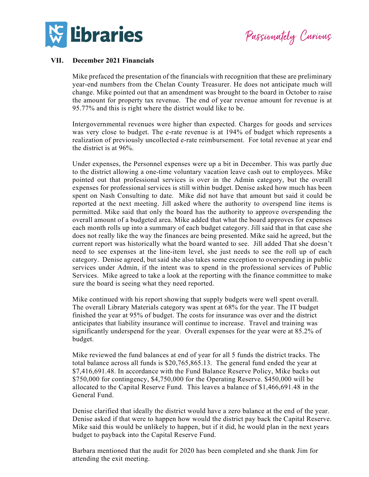

Passionately Curious

### **VII. December 2021 Financials**

Mike prefaced the presentation of the financials with recognition that these are preliminary year-end numbers from the Chelan County Treasurer. He does not anticipate much will change. Mike pointed out that an amendment was brought to the board in October to raise the amount for property tax revenue. The end of year revenue amount for revenue is at 95.77% and this is right where the district would like to be.

Intergovernmental revenues were higher than expected. Charges for goods and services was very close to budget. The e-rate revenue is at 194% of budget which represents a realization of previously uncollected e-rate reimbursement. For total revenue at year end the district is at 96%.

Under expenses, the Personnel expenses were up a bit in December. This was partly due to the district allowing a one-time voluntary vacation leave cash out to employees. Mike pointed out that professional services is over in the Admin category, but the overall expenses for professional services is still within budget. Denise asked how much has been spent on Nash Consulting to date. Mike did not have that amount but said it could be reported at the next meeting. Jill asked where the authority to overspend line items is permitted. Mike said that only the board has the authority to approve overspending the overall amount of a budgeted area. Mike added that what the board approves for expenses each month rolls up into a summary of each budget category. Jill said that in that case she does not really like the way the finances are being presented. Mike said he agreed, but the current report was historically what the board wanted to see. Jill added That she doesn't need to see expenses at the line-item level, she just needs to see the roll up of each category. Denise agreed, but said she also takes some exception to overspending in public services under Admin, if the intent was to spend in the professional services of Public Services. Mike agreed to take a look at the reporting with the finance committee to make sure the board is seeing what they need reported.

Mike continued with his report showing that supply budgets were well spent overall. The overall Library Materials category was spent at 68% for the year. The IT budget finished the year at 95% of budget. The costs for insurance was over and the district anticipates that liability insurance will continue to increase. Travel and training was significantly underspend for the year. Overall expenses for the year were at 85.2% of budget.

Mike reviewed the fund balances at end of year for all 5 funds the district tracks. The total balance across all funds is \$20,765,865.13. The general fund ended the year at \$7,416,691.48. In accordance with the Fund Balance Reserve Policy, Mike backs out \$750,000 for contingency, \$4,750,000 for the Operating Reserve. \$450,000 will be allocated to the Capital Reserve Fund. This leaves a balance of \$1,466,691.48 in the General Fund.

Denise clarified that ideally the district would have a zero balance at the end of the year. Denise asked if that were to happen how would the district pay back the Capital Reserve. Mike said this would be unlikely to happen, but if it did, he would plan in the next years budget to payback into the Capital Reserve Fund.

Barbara mentioned that the audit for 2020 has been completed and she thank Jim for attending the exit meeting.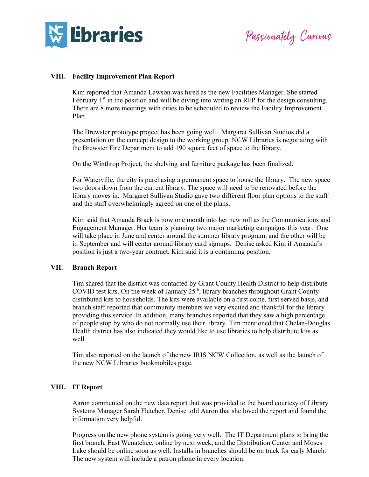

Passionately Curious

# **VIII. Facility Improvement Plan Report**

Kim reported that Amanda Lawson was hired as the new Facilities Manager. She started February  $1<sup>st</sup>$  in the position and will be diving into writing an RFP for the design consulting. There are 8 more meetings with cities to be scheduled to review the Facility Improvement Plan.

The Brewster prototype project has been going well. Margaret Sullivan Studios did a presentation on the concept design to the working group. NCW Libraries is negotiating with the Brewster Fire Department to add 190 square feet of space to the library.

On the Winthrop Project, the shelving and furniture package has been finalized.

For Waterville, the city is purchasing a permanent space to house the library. The new space two doors down from the current library. The space will need to be renovated before the library moves in. Margaret Sullivan Studio gave two different floor plan options to the staff and the staff overwhelmingly agreed on one of the plans.

Kim said that Amanda Brack is now one month into her new roll as the Communications and Engagement Manager. Her team is planning two major marketing campaigns this year. One will take place in June and center around the summer library program, and the other will be in September and will center around library card signups. Denise asked Kim if Amanda's position is just a two-year contract. Kim said it is a continuing position.

#### **VII. Branch Report**

Tim shared that the district was contacted by Grant County Health District to help distribute COVID test kits. On the week of January  $25<sup>th</sup>$ , library branches throughout Grant County distributed kits to households. The kits were available on a first come, first served basis, and branch staff reported that community members we very excited and thankful for the library providing this service. In addition, many branches reported that they saw a high percentage of people stop by who do not normally use their library. Tim mentioned that Chelan-Douglas Health district has also indicated they would like to use libraries to help distribute kits as well.

Tim also reported on the launch of the new IRIS NCW Collection, as well as the launch of the new NCW Libraries bookmobiles page.

## **VIII. IT Report**

Aaron commented on the new data report that was provided to the board courtesy of Library Systems Manager Sarah Fletcher. Denise told Aaron that she loved the report and found the information very helpful.

Progress on the new phone system is going very well. The IT Department plans to bring the first branch, East Wenatchee, online by next week, and the Distribution Center and Moses Lake should be online soon as well. Installs in branches should be on track for early March. The new system will include a patron phone in every location.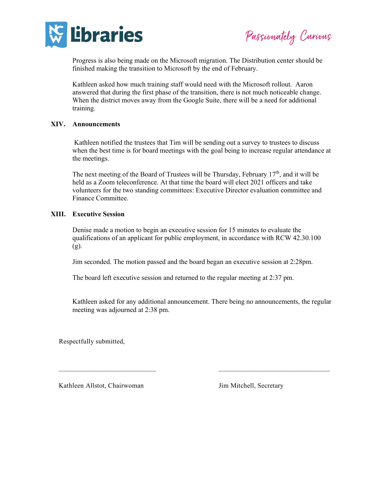

Passionately Curious

Progress is also being made on the Microsoft migration. The Distribution center should be finished making the transition to Microsoft by the end of February.

Kathleen asked how much training staff would need with the Microsoft rollout. Aaron answered that during the first phase of the transition, there is not much noticeable change. When the district moves away from the Google Suite, there will be a need for additional training.

# **XIV. Announcements**

Kathleen notified the trustees that Tim will be sending out a survey to trustees to discuss when the best time is for board meetings with the goal being to increase regular attendance at the meetings.

The next meeting of the Board of Trustees will be Thursday, February  $17<sup>th</sup>$ , and it will be held as a Zoom teleconference. At that time the board will elect 2021 officers and take volunteers for the two standing committees: Executive Director evaluation committee and Finance Committee.

# **XIII. Executive Session**

Denise made a motion to begin an executive session for 15 minutes to evaluate the qualifications of an applicant for public employment, in accordance with RCW 42.30.100  $(g)$ .

Jim seconded. The motion passed and the board began an executive session at 2:28pm.

The board left executive session and returned to the regular meeting at 2:37 pm.

Kathleen asked for any additional announcement. There being no announcements, the regular meeting was adjourned at 2:38 pm.

\_\_\_\_\_\_\_\_\_\_\_\_\_\_\_\_\_\_\_\_\_\_\_\_\_\_\_\_ \_\_\_\_\_\_\_\_\_\_\_\_\_\_\_\_\_\_\_\_\_\_\_\_\_\_\_\_\_\_\_\_

Respectfully submitted,

Kathleen Allstot, Chairwoman Jim Mitchell, Secretary